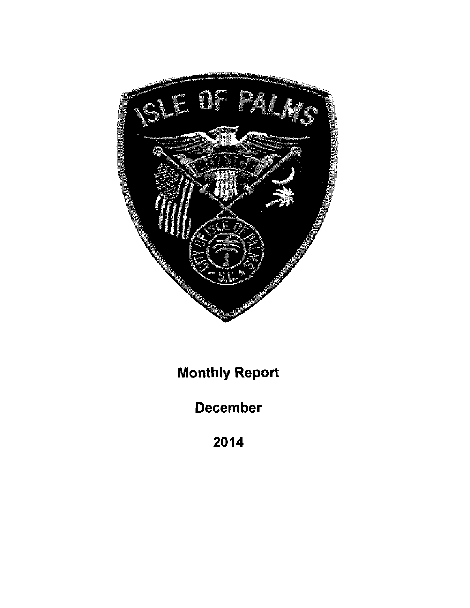

Monthly RepOrt

December

2014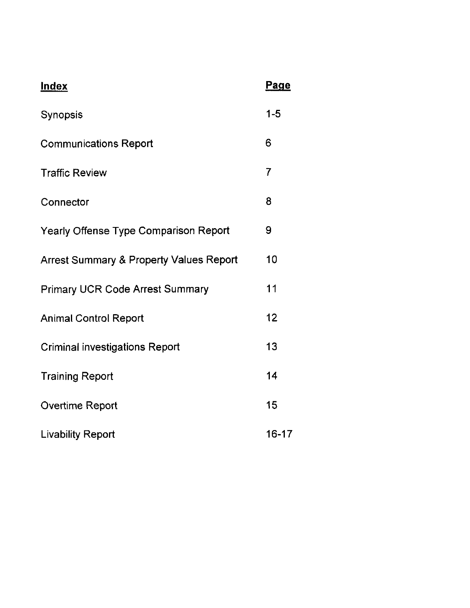| <b>Index</b>                                       | Page           |
|----------------------------------------------------|----------------|
| Synopsis                                           | $1 - 5$        |
| <b>Communications Report</b>                       | 6              |
| <b>Traffic Review</b>                              | $\overline{7}$ |
| Connector                                          | 8              |
| <b>Yearly Offense Type Comparison Report</b>       | 9              |
| <b>Arrest Summary &amp; Property Values Report</b> | 10             |
| <b>Primary UCR Code Arrest Summary</b>             | 11             |
| <b>Animal Control Report</b>                       | 12             |
| <b>Criminal investigations Report</b>              | 13             |
| <b>Training Report</b>                             | 14             |
| <b>Overtime Report</b>                             | 15             |
| <b>Livability Report</b>                           | $16 - 17$      |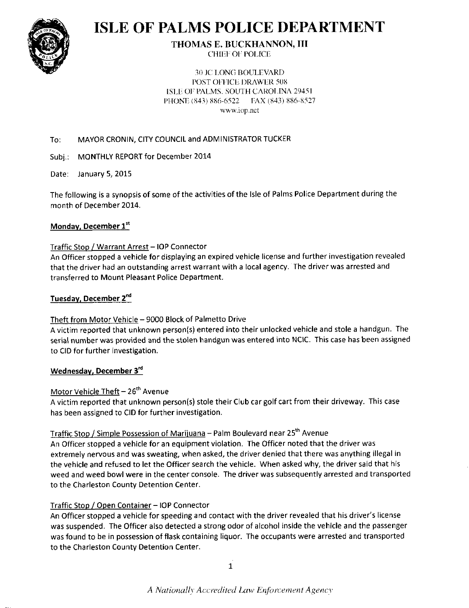

# **ISLE OF PALMS POLICE DEPARTMENT**

# **THOMAS E. BUCKHANNON, III**

**CHIEF OF POLICE** 

**30 JC LONG BOULEVARD** POST OFFICE DRAWER 508 ISLE OF PALMS, SOUTH CAROLINA 29451 PHONE (843) 886-6522 EAX (843) 886-8527 www.iop.net

#### MAYOR CRONIN, CITY COUNCIL and ADMINISTRATOR TUCKER To:

Subi.: **MONTHLY REPORT for December 2014** 

Date: January 5, 2015

The following is a synopsis of some of the activities of the Isle of Palms Police Department during the month of December 2014.

#### Monday, December 1st

#### Traffic Stop / Warrant Arrest - IOP Connector

An Officer stopped a vehicle for displaying an expired vehicle license and further investigation revealed that the driver had an outstanding arrest warrant with a local agency. The driver was arrested and transferred to Mount Pleasant Police Department.

#### Tuesday, December 2<sup>nd</sup>

#### Theft from Motor Vehicle - 9000 Block of Palmetto Drive

A victim reported that unknown person(s) entered into their unlocked vehicle and stole a handgun. The serial number was provided and the stolen handgun was entered into NCIC. This case has been assigned to CID for further investigation.

#### Wednesday, December 3<sup>rd</sup>

#### Motor Vehicle Theft - 26<sup>th</sup> Avenue

A victim reported that unknown person(s) stole their Club car golf cart from their driveway. This case has been assigned to CID for further investigation.

#### Traffic Stop / Simple Possession of Marijuana - Palm Boulevard near 25<sup>th</sup> Avenue

An Officer stopped a vehicle for an equipment violation. The Officer noted that the driver was extremely nervous and was sweating, when asked, the driver denied that there was anything illegal in the vehicle and refused to let the Officer search the vehicle. When asked why, the driver said that his weed and weed bowl were in the center console. The driver was subsequently arrested and transported to the Charleston County Detention Center.

#### Traffic Stop / Open Container - IOP Connector

An Officer stopped a vehicle for speeding and contact with the driver revealed that his driver's license was suspended. The Officer also detected a strong odor of alcohol inside the vehicle and the passenger was found to be in possession of flask containing liquor. The occupants were arrested and transported to the Charleston County Detention Center.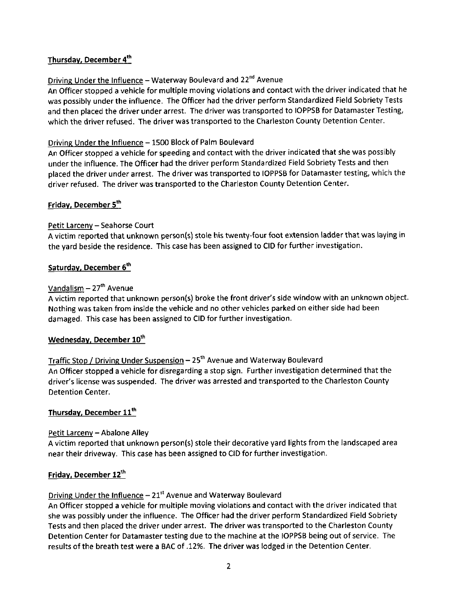#### Thursday, December 4<sup>th</sup>

#### Driving Under the Influence - Waterway Boulevard and 22<sup>nd</sup> Avenue

An Officer stopped a vehicle for multiple moving violations and contact with the driver indicated that he was possibly under the influence. The Officer had the driver perform Standardized Field Sobriety Tests and then placed the driver under arrest. The driver was transported to IOPPSB for Datamaster Testing, which the driver refused. The driver was transported to the Charleston County Detention Center.

#### Driving Under the Influence - 1500 Block of Palm Boulevard

An Officer stopped a vehicle for speeding and contact with the driver indicated that she was possibly under the influence. The Officer had the driver perform Standardized Field Sobriety Tests and then placed the driver under arrest. The driver was transported to IOPPSB for Datamaster testing, which the driver refused. The driver was transported to the Charleston county Detention center.

#### Friday, December 5<sup>th</sup>

#### Petit Larceny - Seahorse Court

A victim reported that unknown person(s) stole his twenty-four foot extension ladder that was laying in the yard beside the residence. This case has been assigned to CID for further investigation.

#### Saturday, December 6th

#### Vandalism  $-27$ <sup>th</sup> Avenue

A victim reported that unknown person(s) broke the front driver's side window with an unknown object. Nothing was taken from inside the vehicle and no other vehicles parked on either side had been damaged. This case has been assigned to CID for further investigation.

#### Wednesday, December 10<sup>th</sup>

Traffic Stop / Driving Under Suspension  $-25<sup>th</sup>$  Avenue and Waterway Boulevard An Officer stopped a vehicle for disregarding a stop sign. Further investigation determined that the driver's license was suspended. The driver was arrested and transported to the Charleston County Detention Center.

#### Thursday, December 11th

#### Petit Larceny - Abalone Alley

A victim reported that unknown person(s) stole their decorative yard lights from the landscaped area near their driveway. This case has been assigned to CID for further investigation.

#### Friday, December 12<sup>th</sup>

Driving Under the Influence  $-21<sup>st</sup>$  Avenue and Waterway Boulevard

An Officer stopped a vehicle for multiple moving violations and contact with the driver indicated that she was possibly under the influence. The Officer had the driver perform Standardized Field Sobriety Tests and then placed the driver under arrest. The driver was transported to the Charleston County Detention Center for Datamaster testing due to the machine at the IOPPSB being out of service. The results of the breath test were a BAC of .12%. The driver was lodged in the Detention Center.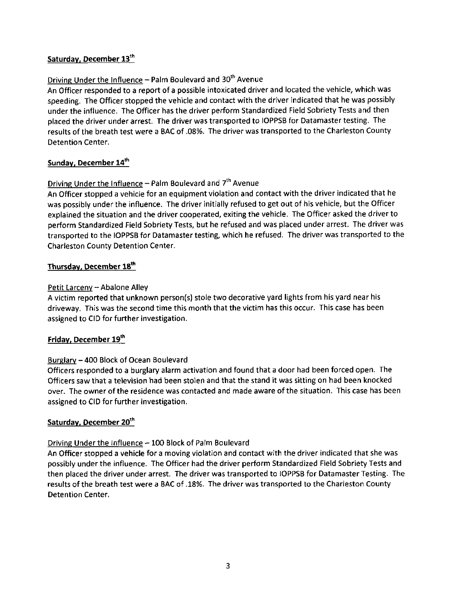#### Saturday, December 13<sup>th</sup>

#### Driving Under the Influence - Palm Boulevard and 30<sup>th</sup> Avenue

An Officer responded to a report of a possible intoxicated driver and located the vehicle, which was speeding. The Officer stopped the vehicle and contact with the driver indicated that he was possibly under the influence. The Officer has the driver perform Standardized Field Sobriety Tests and then placed the driver under arrest. The driver was transported to IOPPSB for Datamaster testing. The results of the breath test were a BAC of .08%. The driver was transported to the Charleston County Detention Center.

#### Sunday, December 14<sup>th</sup>

#### Driving Under the Influence - Palm Boulevard and  $7<sup>th</sup>$  Avenue

An Officer stopped a vehicle for an equipment violation and contact with the driver indicated that he was possibly under the influence. The driver initially refused to get out of his vehicle, but the Officer explained the situation and the driver cooperated, exiting the vehicle. The Officer asked the driver to perform Standardized Field Sobriety Tests, but he refused and was placed under arrest. The driver was transported to the IOPPSB for Datamaster testing, which he refused. The driver was transported to the Charleston County Detention Center.

#### Thursday, December 18th

#### Petit Larceny - Abalone Alley

A victim reported that unknown person(s) stole two decorative yard lights from his yard near his drivewav. This was the second time this month that the victim has this occur. This case has been assigned to CID for further investigation.

#### Friday, December 19th

#### Burqlarv - 400 Block of Ocean Boulevard

Officers responded to a burglary alarm activation and found that a door had been forced open. The Officers saw that a television had been stolen and that the stand it was sitting on had been knocked over. The owner ofthe residence was contacted and made aware ofthe situation. This case has been assigned to CID for further investigation.

#### Saturday, December 20<sup>th</sup>

#### Driving Under the Influence  $-100$  Block of Palm Boulevard

An Officer stopped a vehicle for a moving violation and contact with the driver indicated that she was possibly under the influence. The Officer had the driver perform Standardized Field Sobriety Tests and then placed the driver under arrest. The driver was transported to IOPPSB for Datamaster Testing. The results of the breath test were a BAC of .18%. The driver was transported to the Charleston County Detention Center.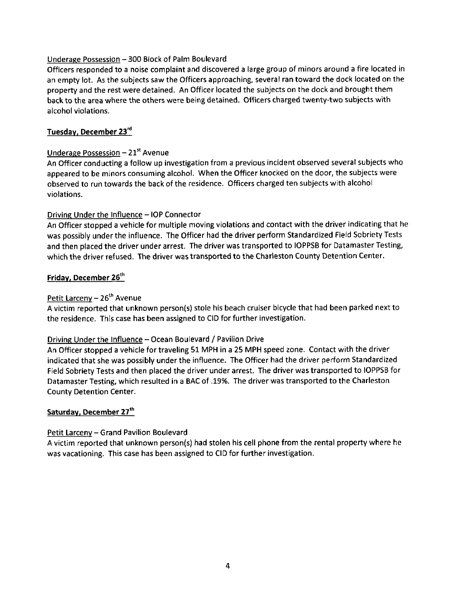#### Underage Possession - 300 Block of Palm Boulevard

Officers responded to a noise complaint and discovered a large group of minors around a fire located in an empty lot. As the subjects saw the Officers approaching, several ran toward the dock located on the property and the rest were detained. An Officer located the subjects on the dock and brought them back to the area where the others were being detained. Officers charged twenty-two subjects with alcohol violations.

#### Tuesdav, December 23'd

#### Underage Possession  $-21<sup>st</sup>$  Avenue

An Officer conducting a follow up investigation from a previous incident observed several subjects who appeared to be minors consuming alcohol. When the Officer knocked on the door, the subjects were observed to run towards the back of the residence. Officers charged ten subjects with alcohol violations.

#### Driving Under the Influence - IOP Connector

An Officer stopped a vehicle for multiple moving violations and contact with the driver indicating that he was possibly under the influence. The Officer had the driver perform Standardized Field Sobriety Tests and then placed the driver under arrest. The driver was transported to IOPPSB for Datamaster Testing, which the driver refused. The driver was transported to the charleston county Detention center.

#### Friday, December 26<sup>th</sup>

#### Petit Larceny  $-26<sup>th</sup>$  Avenue

A victim reported that unknown person(s) stole his beach cruiser bicycle that had been parked next to the residence. This case has been assigned to CID for further investigation.

#### Driving Under the Influence - Ocean Boulevard / Pavilion Drive

An officer stopped a vehicle for traveling 51 MPH in a 25 MPH speed zone. Contact with the driver indicated that she was possibly under the influence. The Officer had the driver perform Standardized Field Sobriety Tests and then placed the driver under arrest. The driver was transported to IOPPSB for Datamaster Testing, which resulted in a BAC of .19%. The driver was transported to the Charleston County Detention Center.

#### Saturday, December 27th

#### Petit Larceny - Grand Pavilion Boulevard

A victim reported that unknown person(s) had stolen his cell phone from the rental property where he was vacationing. This case has been assigned to CID for further investigation.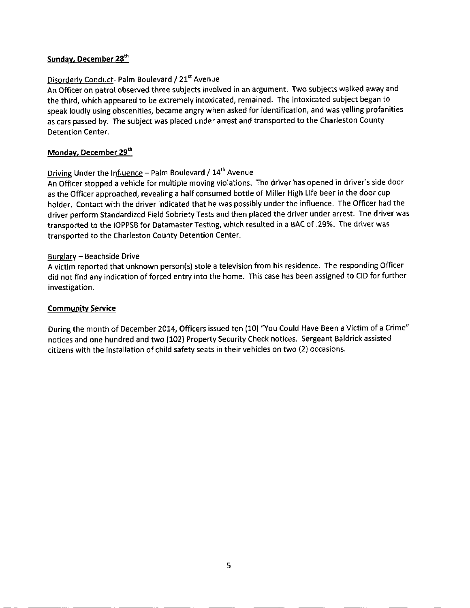#### Sunday, December 28<sup>th</sup>

#### Disorderly Conduct- Palm Boulevard / 21<sup>st</sup> Avenue

An Officer on patrol observed three subjects involved in an argument. Two subjects walked away and the third, which appeared to be extremely intoxicated, remained. The intoxicated subject began to speak loudly using obscenities, became angry when asked for identification, and was yelling profanities as cars passed by. The subject was placed under arrest and transported to the charleston county Detention Center.

#### Monday, December 29th

#### Driving Under the Influence - Palm Boulevard / 14<sup>th</sup> Avenue

An Officer stopped a vehicle for multiple moving violations. The driver has opened in driver's side door as the Officer approached, revealing ahalf consumed bottle of Miller High Life beer in the door cup holder. Contact with the driver indicated that he was possibly under the influence. The Officer had the driver perform Standardized Field Sobriety Tests and then placed the driver under arrest. The driver was transported to the IOPPSB for Datamaster Testing, which resulted in a BAC of .29%. The driver was transoorted to the Charleston Countv Detention Center.

#### Burglary - Beachside Drive

A victim reported that unknown person(s) stole a television from his residence. The responding Officer did not find any indication of forced entry into the home. This case has been assigned to CID for further investigation.

#### Communitv Service

During the month of December 2014, Officers issued ten (10) "You Could Have Been a Victim of a Crime" notices and one hundred and two (102) Property Security Check notices. Sergeant Baldrick assisted citizens with the installation of child safetv seats in their vehicles on two (2) occasions.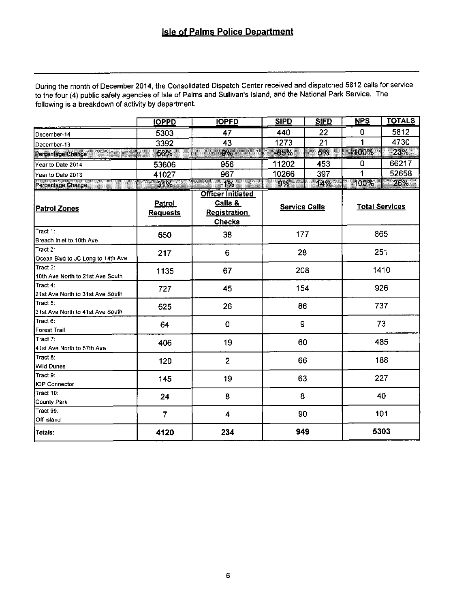During the month of December 2014, the Consolidated Dispatch Center received and dispatched 5812 calls for service to the four (4) public safety agencies of Isle of Palms and Sullivan's Island, and the National Park Service. The following is a breakdown of activity by department.

|                                               | <b>IOPPD</b>                     | <b>IOPFD</b>                                                                | <b>SIPD</b>          | <b>SIFD</b> | NPS   | <b>TOTALS</b>         |
|-----------------------------------------------|----------------------------------|-----------------------------------------------------------------------------|----------------------|-------------|-------|-----------------------|
| December-14                                   | 5303                             | 47                                                                          | 440                  | 22          | 0     | 5812                  |
| December-13                                   | 3392                             | 43                                                                          | 1273                 | 21          | 1     | 4730                  |
| Percentage Change                             | 56%                              | 9%                                                                          | -65%                 | B<br>5%     | -100% | 23%                   |
| Year to Date 2014                             | 53606                            | 956                                                                         | 11202                | 453         | 0     | 66217                 |
| Year to Date 2013                             | 41027                            | 967                                                                         | 10266                | 397         | 1     | 52658                 |
| Percentage Change<br><u> Hillingin k</u>      | 31%                              | $-1\%$<br>allii                                                             | 9%                   | 14%         | +100% | 26%                   |
| <b>Patrol Zones</b>                           | <b>Patrol</b><br><b>Requests</b> | <b>Officer Initiated</b><br>Calls &<br><b>Registration</b><br><b>Checks</b> | <b>Service Calls</b> |             |       | <b>Total Services</b> |
| Tract 1:<br>Breach inlet to 10th Ave          | 650                              | 38                                                                          | 177                  |             |       | 865                   |
| Tract 2:<br>Ocean Blvd to JC Long to 14th Ave | 217                              | 6                                                                           | 28                   |             |       | 251                   |
| Tract 3:<br>10th Ave North to 21st Ave South  | 1135                             | 67                                                                          | 208                  |             |       | 1410                  |
| Tract 4:<br>21st Ave North to 31st Ave South  | 727                              | 45                                                                          | 154                  |             |       | 926                   |
| Tract 5:<br>31st Ave North to 41st Ave South  | 625                              | 26                                                                          | 86                   |             | 737   |                       |
| Tract 6:<br><b>Forest Trail</b>               | 64                               | $\mathbf 0$                                                                 | 9                    |             | 73    |                       |
| Tract 7:<br>41st Ave North to 57th Ave        | 406                              | 19                                                                          | 60                   |             | 485   |                       |
| Tract 8:<br>Wild Dunes                        | 120                              | $\overline{2}$                                                              | 66                   |             |       | 188                   |
| Tract 9:<br><b>IOP Connector</b>              | 145                              | 19                                                                          | 63                   |             |       | 227                   |
| Tract 10:<br>County Park                      | 24                               | 8                                                                           | 8                    |             |       | 40                    |
| Tract 99:<br>Off island                       | $\overline{7}$                   | 4                                                                           | 90                   |             |       | 101                   |
| Totals:                                       | 4120                             | 234                                                                         | 949                  |             |       | 5303                  |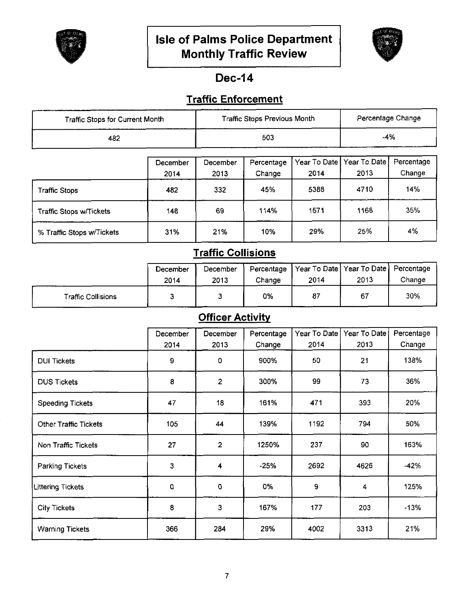



# **Dec-14**

# **Traffic Enforcement**

| Traffic Stops for Current Month |                  |                  | Traffic Stops Previous Month |      |                                     | Percentage Change    |
|---------------------------------|------------------|------------------|------------------------------|------|-------------------------------------|----------------------|
| 482                             |                  |                  | 503                          |      | $-4%$                               |                      |
|                                 | December<br>2014 | December<br>2013 | Percentage<br>Change         | 2014 | Year To Date   Year To Date<br>2013 | Percentage<br>Change |
| Traffic Stops                   | 482              | 332              | 45%                          | 5388 | 4710                                | 14%                  |

| Traffic Stops w/Tickets   | 148 | 69  | 114% | 1571 | 1168 | 35% |
|---------------------------|-----|-----|------|------|------|-----|
| % Traffic Stops w/Tickets | 31% | 21% | 10%  | 29%  | 25%  | 4%  |

# **Traffic Collisions**

|                           | December<br>2014 | December<br>2013 | Percentage<br>Change | 2014 | Year To Date Year To Date Percentage<br>2013 | Change |
|---------------------------|------------------|------------------|----------------------|------|----------------------------------------------|--------|
| <b>Traffic Collisions</b> |                  |                  | 0%                   | 87   | 67                                           | 30%    |

# **Officer Activity**

|                              | December | December       | Percentage | Year To Date | Year To Date | Percentage |
|------------------------------|----------|----------------|------------|--------------|--------------|------------|
|                              | 2014     | 2013           | Change     | 2014         | 2013         | Change     |
| <b>DUI Tickets</b>           | 9        | 0              | 900%       | 50           | 21           | 138%       |
| <b>DUS Tickets</b>           | 8        | $\overline{2}$ | 300%       | 99           | 73           | 36%        |
| <b>Speeding Tickets</b>      | 47       | 18             | 161%       | 471          | 393          | 20%        |
| <b>Other Traffic Tickets</b> | 105      | 44             | 139%       | 1192         | 794          | 50%        |
| Non Traffic Tickets          | 27       | $\overline{2}$ | 1250%      | 237          | 90           | 163%       |
| <b>Parking Tickets</b>       | 3        | 4              | $-25%$     | 2692         | 4626         | $-42%$     |
| <b>Littering Tickets</b>     | 0        | 0              | 0%         | $\mathbf 9$  | 4            | 125%       |
| <b>City Tickets</b>          | 8        | 3              | 167%       | 177          | 203          | $-13%$     |
| <b>Warning Tickets</b>       | 366      | 284            | 29%        | 4002         | 3313         | 21%        |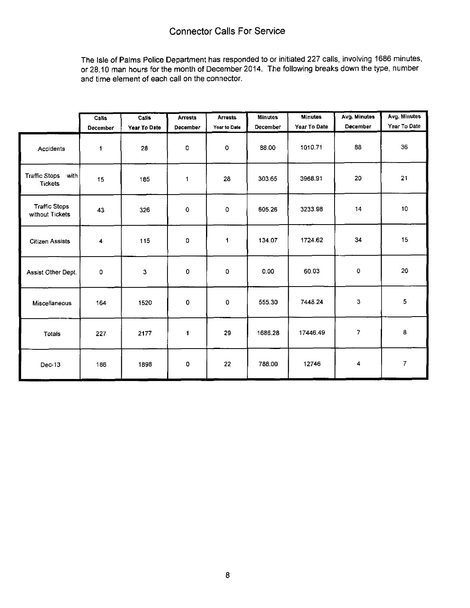The Isle of Palms Police Department has responded to or initiated 227 calls, involving 1686 minutes, or 28.10 man hours for the month of December 2014. The following breaks down the type, number and time element of each call on the connector.

|                                                | Calls<br>December | Calls<br>Year To Date | <b>Arrests</b><br>December | <b>Arrests</b><br>Year to Date | <b>Minutes</b><br>December | <b>Minutes</b><br>Year To Date | Avg. Minutes<br>December | Avg. Minutes<br>Year To Date |
|------------------------------------------------|-------------------|-----------------------|----------------------------|--------------------------------|----------------------------|--------------------------------|--------------------------|------------------------------|
| Accidents                                      | 1                 | 28                    | 0                          | $\mathbf{o}$                   | 88.00                      | 1010.71                        | 88                       | 36                           |
| <b>Traffic Stops</b><br>with<br><b>Tickets</b> | 15                | 185                   | $\mathbf{1}$               | 28                             | 303.65                     | 3968.91                        | 20                       | 21                           |
| <b>Traffic Stops</b><br>without Tickets        | 43                | 326                   | 0                          | 0                              | 605.26                     | 3233.98                        | 14                       | 10                           |
| <b>Citizen Assists</b>                         | 4                 | 115                   | 0                          | 1                              | 134.07                     | 1724.62                        | 34                       | 15                           |
| Assist Other Dept.                             | 0                 | 3                     | 0                          | 0                              | 0.00                       | 60.03                          | 0                        | 20                           |
| Miscellaneous                                  | 164               | 1520                  | $\mathbf 0$                | 0                              | 555.30                     | 7448.24                        | 3                        | 5                            |
| Totals                                         | 227               | 2177                  | 1                          | 29                             | 1686.28                    | 17446.49                       | 7                        | 8                            |
| $Dec-13$                                       | 186               | 1898                  | 0                          | 22                             | 788.00                     | 12746                          | 4                        | $\overline{I}$               |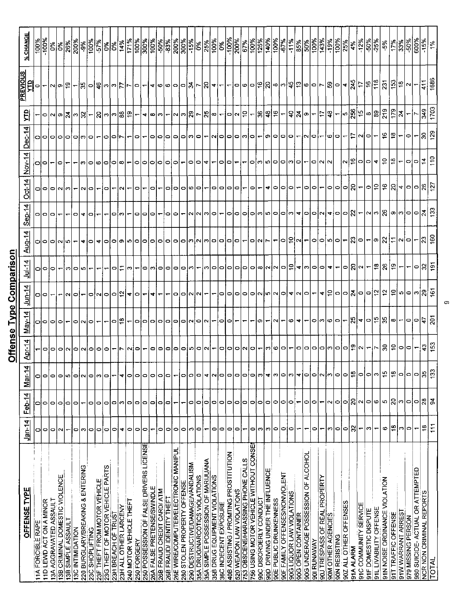|                                                           |                          |                                   |          |                          |                                   |                          |                                                                               |                          |                                   |           |                |                          |                                                                                              | 의<br><b>PREVIO</b> |                                   |
|-----------------------------------------------------------|--------------------------|-----------------------------------|----------|--------------------------|-----------------------------------|--------------------------|-------------------------------------------------------------------------------|--------------------------|-----------------------------------|-----------|----------------|--------------------------|----------------------------------------------------------------------------------------------|--------------------|-----------------------------------|
| OFFENSE TYPE                                              | $Jan-14$                 | Feb-14                            | 귀<br>Mar | <b>Apr-14</b>            | May-14                            | $14$                     | $Ju$ -14                                                                      | $\frac{\text{Auq}-14}{}$ | $Sep-14$                          | $Oct-14$  | $Nov-14$       | <b>Dec-14</b>            | 밁                                                                                            |                    | % CHANGE                          |
| <b>11A FORCIBLE RAPE</b>                                  | o                        | 0                                 | o        |                          |                                   | ం∣ం                      |                                                                               |                          |                                   |           |                |                          |                                                                                              | 0                  | $\frac{100\%}{200\%}$             |
| 11D LEWD ACT ON A MINOR                                   | $\circ$                  | 0                                 | 0        | 이어                       | 이이이어                              |                          | $\circ$                                                                       | 이이이                      | 이어                                | 이이어       | ∘              | 00000                    |                                                                                              |                    | $\left \frac{1}{2}\right _2^2$    |
| 13A AGGRAVATED ASSAULT                                    | 0                        | 0                                 | 0        |                          |                                   |                          |                                                                               |                          | p                                 |           |                |                          |                                                                                              | പത                 |                                   |
| 13B CRIMINAL DOMESTIC VIOLENCE                            | $\sim$                   | ٥                                 | o        |                          |                                   |                          |                                                                               |                          |                                   |           | 0              |                          |                                                                                              |                    |                                   |
| 13B SIMPLE ASSAULT<br>13C INTIMIDATION                    |                          | c                                 | 0        |                          | ∘                                 | $\circ$<br>N             | c.                                                                            |                          | 0                                 |           |                |                          |                                                                                              |                    | $\frac{88}{200}$                  |
| 220 BURGLARY/BREAKING & ENTERING                          | 0<br>$\mathfrak{S}$      | 0                                 |          | 000000                   |                                   |                          | 0                                                                             |                          |                                   |           |                |                          |                                                                                              |                    | $ \tilde{\mathcal{E}} $           |
| 23C SHOPLIFTING                                           | $\circ$                  | 0                                 |          |                          | N O                               |                          |                                                                               | 0                        |                                   |           |                | $ \bm{\varpi} $ င္က      |                                                                                              |                    |                                   |
| 23F THEFT FROM MOTOR VEHICLE                              | $\circ$                  | 0                                 |          |                          |                                   | 이시                       |                                                                               |                          |                                   |           |                |                          | ㅇ ~ ∞ 치 ~ 읽 ~ 워 ~ 예  읽 위ㅡ                                                                    | 12  이하니~  2  이     | $\frac{100\%}{100\%}\times 100\%$ |
| 23G THEFT OF MOTOR VEHICLE PARTS                          | $\circ$                  | 0                                 |          | $\circ$                  |                                   | ∣ం∣ం                     |                                                                               | 0                        |                                   |           |                | ⇨                        |                                                                                              |                    |                                   |
| 23H BREACH OF TRUST                                       | $\circ$                  | 0                                 |          |                          | 0                                 |                          | 0                                                                             | 0                        | 0                                 |           | 0              | 016                      |                                                                                              |                    |                                   |
| <b>23H ALL OTHER LARCENY</b>                              | 4                        | n                                 |          |                          |                                   | $\frac{1}{2}$            |                                                                               | တ၊                       |                                   |           | ∞              |                          |                                                                                              |                    |                                   |
| 240 MOTOR VEHICLE THEFT                                   | ۰                        | 0                                 |          |                          |                                   | ৰ∣০                      | ∞                                                                             | စေ                       |                                   |           |                |                          |                                                                                              |                    |                                   |
| 250 FORGERY                                               | $\circ$                  | 0                                 |          | $\circ$                  | P                                 |                          |                                                                               |                          | 0                                 | 0         | 0              | 0                        |                                                                                              |                    |                                   |
| 250 POSSESSION OF FALSE DRIVERS LICENSE                   | $\circ$                  | 0                                 |          | ↽                        |                                   | $\overline{\phantom{a}}$ |                                                                               | c                        | 0                                 |           | 0              |                          |                                                                                              |                    |                                   |
| 26A FALSE PRETENSE/SWINDLE                                | ÷                        | ۰                                 |          | $\bullet$                |                                   | ◥                        |                                                                               | $\bullet$                | lol                               |           |                |                          |                                                                                              |                    |                                   |
| 26B FRAUD CREDIT CARD/ ATM<br>26B FRAUD/ IDENTITY THEFT   | $\circ$<br>۰             | 0<br>0                            |          | 0 0 0                    | 0000000000                        | $\overline{\phantom{a}}$ | O[0]                                                                          | ⊳                        |                                   | っ         | 0<br>∘         | 0000000                  | │ <b>┥</b> ∞│∾│∼│∾│ଛ│∼│ଛ│∞│∼│ <b>੦│∾│</b> ≘│∼│ଛ│ଛ∣∕≌│∼│ <i>੩</i> │≋│∼│⋍│≆│−¦ <i>┉</i> │ଛ│'⋍│ |                    | $\frac{88}{336}$                  |
| 26E WIRE/COMPUTER/ELECTRONIC MANIPUL                      | $\circ$                  | ٣                                 |          |                          |                                   | $\circ$                  |                                                                               | ဝေ                       | 이이                                |           |                |                          |                                                                                              |                    |                                   |
| 280 STOLEN PROPERTY OFFENSE                               | $\circ$                  |                                   |          | $\bullet$                |                                   | o                        |                                                                               | 10                       |                                   | o         |                |                          |                                                                                              |                    |                                   |
| 290 DESTRUCTIVE/DAMAGE/VANDALISM                          | ∾                        | 0                                 |          |                          |                                   | M.                       |                                                                               |                          |                                   | ဖျ        |                |                          |                                                                                              |                    |                                   |
| 35A DRUG/NARCOTICS VIOLATIONS                             | 0                        | $\circ$                           |          |                          |                                   | N                        |                                                                               |                          |                                   | $\circ$   | o              |                          |                                                                                              |                    |                                   |
| 35A SIMPLE POSSESSION OF MARIJUANA                        | ↽                        | $\circ$                           |          | $ n $ o $ n $            |                                   |                          |                                                                               |                          | လ လ က ဝ                           |           |                |                          |                                                                                              |                    | $\frac{88}{100}$                  |
| 35B DRUG EQUIPMENT VIOLATIONS                             | 0                        | $\circ$                           |          | $\overline{\phantom{0}}$ |                                   |                          |                                                                               |                          |                                   | $\circ$   |                | NO                       |                                                                                              |                    |                                   |
| 36C INDECENT EXPOSURE                                     | $\circ$                  | 0                                 |          | 000000-                  | ା                                 | 0                        | │∞│०│०│०│०│०│∞│∾│∾│०│ <del></del> 2│ <del>⋖</del> │∞│०│०│≁│∼│०│६│∾│∼│≌│६│⊕│∼│ | ကြုပါမလြတ္ပြာ            |                                   | 0         | 0              |                          |                                                                                              |                    | $\frac{6\%}{100\%}$               |
| 40B ASSISTING / PROMITING PROSTITUTION                    | $\bullet$                | $\circ$                           |          |                          | $\circ$                           | $\circ$   $\circ$        |                                                                               |                          | ∘                                 | 0         | 0              |                          |                                                                                              |                    |                                   |
| <b>520 WEAPON LAW VIOLATIONS</b>                          | $\circ$                  | ۰                                 |          |                          |                                   |                          |                                                                               |                          |                                   | Þ         |                |                          |                                                                                              |                    | $\frac{8}{100}$                   |
| 753 OBSCENE/HARASSING PHONE CALLS                         | ٠                        | ۰                                 |          |                          |                                   |                          |                                                                               |                          |                                   |           |                |                          |                                                                                              |                    |                                   |
| 756 USING MOTOR VEHICLE WITHOUT CONSE                     | 0                        | ۰                                 |          |                          |                                   |                          |                                                                               | O Q                      |                                   | ∘         | 0              | O O                      |                                                                                              |                    | $\frac{888}{2028}$                |
| 90C DISORDERLY CONDUCT                                    | $\sim$                   | $\bullet$                         |          |                          | ၈                                 |                          |                                                                               |                          |                                   |           | (၁             |                          |                                                                                              |                    |                                   |
| 90D DRIVING UNDER THE INFLUENCE<br>90E PUBLIC DRUNKENNESS | $\circ$<br>S             | $\circ$<br>$\circ$                |          | lml                      |                                   | 0  0  0  0  0  0  0      |                                                                               | $\overline{\phantom{a}}$ | 0  0  0  0  0  0  0               | ⇥<br>∘    | ю<br>$\circ$   | ၈ ၀ ၀ ၀                  |                                                                                              |                    | $\frac{1}{100}$                   |
| 90F FAMILY OFFENSES/NONVIOLENT                            | 0                        | $\circ$                           |          | ဖျာ                      | $\sim$                            |                          |                                                                               |                          |                                   | $\circ$   |                |                          |                                                                                              |                    |                                   |
| 90G LIQUOR LAW VIOLATIONS                                 | $\circ$                  | $\circ$                           |          | $\overline{\phantom{0}}$ |                                   |                          |                                                                               | 이히어드                     |                                   | ◒         | ဝေက            |                          |                                                                                              |                    | $\frac{8}{10}$                    |
| 90G OPEN CONTAINER                                        | ←                        | $\overline{\phantom{0}}$          |          | $\circ$                  | ⊙∣≁                               |                          |                                                                               |                          |                                   |           | $\circ$        |                          |                                                                                              |                    |                                   |
| 90G UNDERAGE POSSESSION OF ALCOHOL                        | <b>—</b>                 | $\circ$                           |          |                          |                                   |                          |                                                                               |                          |                                   | $\circ$   |                |                          |                                                                                              |                    | <u>ြို့တို့ မြို့</u>             |
| 901 RUNAWAY                                               | ۰                        | $\circ$                           |          |                          |                                   |                          |                                                                               |                          |                                   | $\bullet$ | O N N          | oj                       |                                                                                              |                    |                                   |
| 90J TRESPASS OF REAL PROPERTY                             | ٣                        | $\overline{\phantom{0}}$          |          |                          |                                   |                          |                                                                               |                          |                                   |           |                |                          |                                                                                              |                    |                                   |
| 90M OTHER AGENCIES                                        | c                        | $\sim$                            |          |                          | $\sim$   $\sim$   $\sim$   $\sim$ |                          |                                                                               |                          |                                   | 이이        |                | ∞                        |                                                                                              |                    | $\frac{15}{2}$                    |
| <b>90N RESISTING</b>                                      | 0                        | $\bullet$                         |          |                          |                                   |                          |                                                                               |                          |                                   |           |                | o                        |                                                                                              |                    | ।<br> <br> <br> <br>              |
| 902 ALL OTHER OFFENSES<br>91A ALARM                       | 8<br>0                   | $\boldsymbol{z}$<br>$\Rightarrow$ |          | 미미미미미미                   |                                   |                          |                                                                               |                          |                                   | ାଥା-      | ∾ ≌ ೦          |                          |                                                                                              |                    | $\frac{8}{25}$                    |
| 91C COMMUNITY SERVICE                                     | $\overline{\phantom{0}}$ | $\sim$                            |          |                          |                                   |                          |                                                                               |                          |                                   |           |                | 디어이                      |                                                                                              |                    | $\frac{4\%}{12\%}$                |
| 91F DOMESTIC DISPUTE                                      | Ø                        | $\circ$                           |          | $\frac{1}{2}$            |                                   |                          |                                                                               |                          |                                   |           | 0              |                          |                                                                                              |                    |                                   |
| 91L LIVABILITY OFFENSE                                    | $\overline{\phantom{0}}$ | G                                 |          |                          |                                   |                          |                                                                               |                          |                                   |           | ,ৰা            | $\overline{\phantom{0}}$ |                                                                                              |                    | $\frac{-50\%}{-25\%}$             |
| 91N NOISE ORDINANCE VIOLATION                             | G                        | 5                                 |          |                          |                                   |                          |                                                                               |                          |                                   |           | $\overline{c}$ |                          |                                                                                              |                    | $-5%$                             |
| 911 TRAFFIC OFFENSE                                       | $\frac{8}{1}$            | ၃                                 | ഥ∣∞∣പ്പ  |                          |                                   |                          |                                                                               |                          |                                   |           | ∣≌             |                          |                                                                                              |                    | $\frac{3}{26}$                    |
| 91W WARRANT ARREST                                        | ω                        | က                                 |          |                          |                                   |                          |                                                                               |                          |                                   |           |                |                          |                                                                                              |                    | န္ကြန္တီ                          |
| 979 MISSING PERSON                                        | 0                        | $\sim$                            |          | 유 의이이~                   | ∞ − ૦ ૦                           |                          |                                                                               |                          |                                   | 이히高임4 이어  | ం∣ం            | $\bullet$                | ∞  ଇ  ፷  ፷ ₹ ├ ∼                                                                             |                    |                                   |
| 980 SUICIDE- ACTUAL OR ATTEMPTED                          | ÷                        | lo                                |          |                          |                                   | ~ + 위이이치이이의의위아이이~  웨     | ∣⇔                                                                            |                          | ㅇ ㅇ ~ ㅎ ㅇ ㅇ 8 ㅡ ~ ㅆ ☆ ∞ ∞ ㅇ ㅇ 치 요 |           |                | $\overline{\phantom{a}}$ |                                                                                              |                    | 600%                              |
| NCR NON CRIMINAL REPORTS                                  | ٩                        | $\mathbf{a}$                      | ო        | $ \hat{z} $ င်း          | $\frac{1}{2}$                     |                          | ္ကူ                                                                           | ∣္လုဒ္င                  |                                   | 웨일        | $rac{14}{10}$  | <u>န္တုန္</u>            | $\frac{3}{30}$                                                                               | $\frac{1}{41}$ 88  | $-15%$                            |
| TOTA                                                      | Ξ                        | ă                                 |          |                          |                                   |                          |                                                                               |                          |                                   |           |                |                          |                                                                                              |                    |                                   |

 $\sigma$ 

# Offense Type Comparison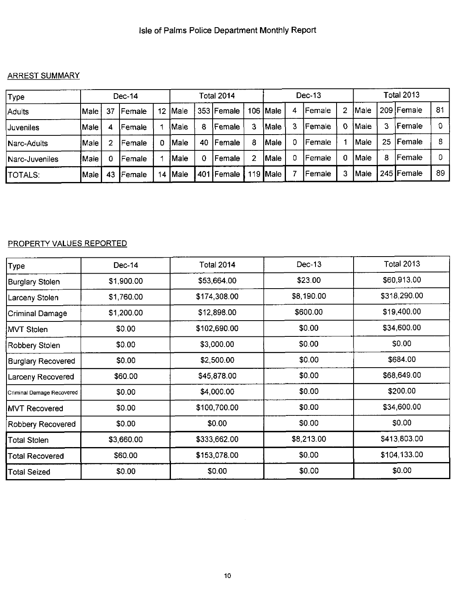#### ARREST SUMMARY

| Type           |       |    | Dec-14         |         |              |     | Total 2014     |   |                  |   | Dec-13 |   |       |    | <b>Total 2013</b> |    |
|----------------|-------|----|----------------|---------|--------------|-----|----------------|---|------------------|---|--------|---|-------|----|-------------------|----|
| Adults         | Male  | 37 | <b>IFemale</b> | $12 \,$ | Male         |     | 353 Female     |   | 106   Male       | 4 | Female | 2 | IMale |    | 209   Female      | 81 |
| Juveniles      | lMale | 4  | lFemale        |         | <b>!Male</b> | 8   | lFemale        |   | Male             | 3 | Female | 0 | IMale | 3  | Female            |    |
| INarc-Adults   | Male  |    | Female         | 0       | IMale        | 40  | <b>IFemale</b> | 8 | Male             |   | Female |   | lMale | 25 | Female            | 8  |
| Narc-Juveniles | Male  |    | Female         |         | Male         | 0   | l Female       |   | Male             | 0 | Female | 0 | Male  | 8  | Female            |    |
| <b>TOTALS:</b> | Male  | 43 | Female         | 14      | <b>Male</b>  | 401 | Female         |   | 119 <b> Male</b> |   | Female | 3 | Male  |    | 245   Female      | 89 |

#### PROPERTY VALUES REPORTED

| Type                      | Dec-14     | <b>Total 2014</b> | Dec-13     | <b>Total 2013</b> |
|---------------------------|------------|-------------------|------------|-------------------|
| Burglary Stolen           | \$1,900.00 | \$53,664.00       | \$23.00    | \$60,913.00       |
| Larceny Stolen            | \$1,760.00 | \$174,308.00      | \$8,190.00 | \$318,290.00      |
| Criminal Damage           | \$1,200.00 | \$12,898.00       | \$600.00   | \$19,400.00       |
| MVT Stolen                | \$0.00     | \$102,690.00      | \$0.00     | \$34,600.00       |
| Robbery Stolen            | \$0.00     | \$3,000.00        | \$0.00     | \$0.00            |
| <b>Burglary Recovered</b> | \$0.00     | \$2,500.00        | \$0.00     | \$684.00          |
| Larceny Recovered         | \$60.00    | \$45,878.00       | \$0.00     | \$68,649.00       |
| Criminal Damage Recovered | \$0.00     | \$4,000.00        | \$0.00     | \$200.00          |
| <b>IMVT Recovered</b>     | \$0.00     | \$100,700.00      | \$0.00     | \$34,600.00       |
| <b>Robbery Recovered</b>  | \$0.00     | \$0.00            | \$0.00     | \$0.00            |
| <b>Total Stolen</b>       | \$3,660.00 | \$333,662.00      | \$8,213.00 | \$413,803.00      |
| <b>Total Recovered</b>    | \$60.00    | \$153,078.00      | \$0.00     | \$104,133.00      |
| Total Seized              | \$0.00     | \$0.00            | \$0.00     | \$0.00            |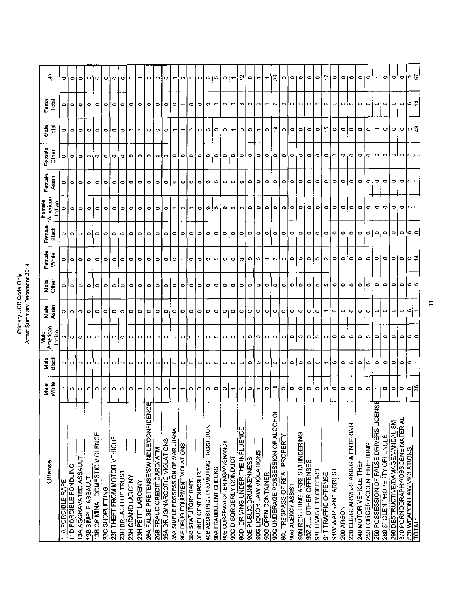# Primary UCR Code Only<br>Arrest Summary December 2014

|                                            |                          |                   | <b>Bien</b>        |               |               |                          |                          | Female                    |                 |                  |                          |                          |         |
|--------------------------------------------|--------------------------|-------------------|--------------------|---------------|---------------|--------------------------|--------------------------|---------------------------|-----------------|------------------|--------------------------|--------------------------|---------|
| Offense                                    | Male<br>White            | Male<br>Black     | American<br>Indian | Male<br>Asian | Male<br>Other | Femate<br>White          | Female<br>Black          | American<br><u>liqian</u> | Female<br>Asian | Fernale<br>Other | Male<br>Total            | Femal<br>Total           | Total   |
| 11A FORCIBLE RAPE                          | 0                        | ∘                 | ۰                  | 0             | 0             | 0                        | 0                        | 0                         | o               | 0                | 0                        |                          | ۰       |
| 11D FORCIBLE FONDLING                      | $\circ$                  | $\circ$ lo        | $\circ$            | 0             | $\circ$       | $\circ$                  | $\circ$                  | $\circ$                   | $\circ$         | 0                | ۰                        | $\circ$                  | ۰       |
| 13A AGGRAVATED ASSAULT                     | $\circ$                  |                   | ۰                  | $\circ$       | ۰             | $\circ$                  | $\circ$                  | $\circ$                   | $\circ$         | ۰                | ۰                        | $\circ$                  | ۰       |
| 13B SIMPLE ASSAULT                         | Ο                        | $\circ$           | ۰                  | 0             | $\circ$       | $\circ$                  | $\circ$                  | $\circ$                   | $\circ$         | ۰                | ۰                        | $\circ$                  | ۰       |
| 13B CRIMINAL DOMESTIC VIOLENCE             | ۰                        | $\bullet$         | ۰                  | O             | $\circ$       | $\circ$                  | $\overline{\phantom{a}}$ | $\circ$                   | ۰               | ۰                | ۰                        | ۰                        | ۰       |
| 23C SHOPLIFTING                            | ۰                        | $\circ$           | ۰                  | $\circ$       | $\circ$       | $\circ$                  | $\circ$                  | $\circ$                   | ۰               | ۰                | 0                        | 0                        | ۰       |
| 23F THEFT FROM MOTOR VEHICLE               | $\circ$                  |                   | ۰                  | ۰             | 0             | $\circ$                  | $\circ$                  | $\circ$                   | ۰               | ۰                | $\circ$                  | ۰                        | ۰       |
| 23H BREACH OF TRUST                        | ۰                        | $\circ$   $\circ$ | ۰                  | 0             | 0             | ۰                        | $\circ$                  | ۰                         | ۰               | ۰                | ۰                        | ۰                        | ۰       |
| 23H GRAND LARCENY                          | $\circ$                  | $\circ$           | ۰                  | $\circ$       | $\circ$       | ۰                        | ۰                        | $\circ$                   | 0               | ۰                | $\circ$                  | $\bullet$                | ۰       |
| 23H PETIT LARCENY                          |                          | $\bullet$         | ۰                  | 0             | $\circ$       | $\circ$                  | $\circ$                  | $\circ$                   | $\circ$         | ۰                | ÷                        | $\circ$                  |         |
| 26A FALSE PRETENSE/SWINDLE/CONFIDENCE      | ۰                        | $\circ$           | ۰                  | ۰             | $\circ$       | ۰                        | $\circ$                  | $\circ$                   | 0               | ۰                | ۰                        | ۰                        | ۰       |
| 26B FRAUD CREDIT CARD/ ATM                 | ۰                        | $\circ$           | ۰                  | ۰             | ۰             | ۰                        | $\circ$                  | $\circ$                   | ۰               | O                | ۰                        | ۰                        | ۰       |
| 35A DRUG/NARCOTIC VIOLATIONS               | ۰                        | $\circ$           | ۰                  | ۰             | $\circ$       | ۰                        | $\circ$                  | $\bullet$                 | ۰               | ۰                | $\circ$                  | ۰                        | o       |
| 35A SIMPLE POSSESSION OF MARIJUANA         |                          | $\circ$           | ۰                  | ۰             | $\circ$       | ۰                        | $\circ$                  | $\circ$                   | $\circ$         | $\circ$          | $\overline{\phantom{0}}$ | $\circ$                  |         |
| 35B DRUG EQUIPMENT VIOLATIONS              |                          | $\circ$           | ۰                  | ۰             | 0             |                          | $\circ$                  | $\circ$                   | ۰               | ۰                |                          |                          | N       |
| 36B STATUTORY RAPE                         | ۰                        | $\circ$           | ۰                  | ۰             | $\circ$       | ۰                        | $\circ$                  | $\circ$                   | ۰               | ۰                | 0                        | ۰                        | ۰       |
| 36C INDECENT EXPOSURE                      | $\circ$                  | $\bullet$         | ۰                  | $\circ$       | $\circ$       | $\circ$                  | $\circ$                  | $\circ$                   | 0               | ۰                | $\circ$                  | o                        | ۰       |
| 40B ASSISTING / PROMOTING PROSTITION       | ۰                        | $\bullet$         | $\circ$            | $\circ$       | $\circ$       | $\circ$                  | $\circ$                  | c                         | Ф               | о                | Ο                        | $\circ$                  | o       |
| 90A FRAUDULENT CHECKS                      | $\circ$                  | $\circ$           | $\circ$            | ۰             | ۰             | $\circ$                  | $\circ$                  | ۰                         | ۰               | ۰                | $\circ$                  | $\circ$                  | ۰       |
| 90B CURFEWILDITERING/VAGRANCY              | $\circ$                  | ۰                 | ۰                  | ۰             | ິ             | ۰                        | $\circ$                  | 0                         | 0               | $\circ$          | $\circ$                  | $\circ$                  | ۰       |
| 90C DISORDERLY CONDUCT                     |                          | $\circ$           | ۰                  | ۰             | $\circ$       | ۰                        | $\circ$                  | ۰                         | $\circ$         | ۰                | ↽                        | $\circ$                  |         |
| 90D DRIVING UNDER THE INFLUENCE            | c                        | ۰                 | ۰                  | ۰             | ۰             | ø                        | $\circ$                  | ۰                         | ۰               | $\circ$          | Φ                        | C                        | 으       |
| 90E PUBLIC DRUNKENNESS                     | ۰                        | $\circ$           | ٥                  | ٥             | $\circ$       | $\circ$                  | $\circ$                  | $\circ$                   | $\circ$         | ۰                | ۰                        | $\circ$                  | ۰       |
| 90G LIQUOR LAW VIOLATIONS                  |                          | $\circ$           | ۰                  | ۰             | $\circ$       | $\bullet$                | ۰                        | 0                         | ۰               | ۰                |                          | $\bullet$                |         |
| 90G OPEN CONTAINER                         | o                        | $\circ$           | ۰                  | $\circ$       | $\circ$       | $\overline{\phantom{a}}$ | $\circ$                  | $\circ$                   | $\circ$         | $\circ$          | o                        | $\overline{\phantom{0}}$ |         |
| 90G UNDERAGE POSSESSION OF ALCOHOL         | ≌                        | $\circ$           | ۰                  | $\circ$       | $\circ$       | r.                       | $\circ$                  | 0                         | ۰               | ۰                | ≌                        | r                        | R,      |
| 90J TRESPASS OF REAL PROPERTY              | $\circ$                  | $\circ$           | 0                  | ۰             | $\circ$       | ۰                        | ۰                        | 0                         | ۰               | ۰                | o                        | ۰                        | ۰       |
| <b>9DM AGENCY ASSIST</b>                   | $\circ$                  | ۰                 | ۰                  | ۰             | $\circ$       | $\circ$                  | ۰                        | $\circ$                   | $\circ$         | ۰                | $\circ$                  | $\circ$                  | $\circ$ |
| 90N RESISTING ARREST/HINDERING             | $\circ$                  | $\circ$           | ۰                  | $\circ$       | $\circ$       | ۰                        | $\circ$                  | 0                         | $\circ$         | ۰                | $\circ$                  | $\circ$                  | 0       |
| 90Z ALL OTHER OFFENSES                     | $\circ$                  | $\circ$           | 0                  | $\circ$       | $\circ$       | $\circ$                  | $\circ$                  | 0                         | $\circ$         | $\circ$          | $\circ$                  | $\circ$                  | ۰       |
| 91L LIVABILITY OFFENSE                     | $\circ$                  | $\circ$           | ۰                  | $\circ$       | $\circ$       | $\circ$                  | $\circ$                  | $\circ$                   | $\circ$         | $\circ$          | $\circ$                  | $\circ$                  | $\circ$ |
| 91T TRAFFIC OFFENSE                        | c                        |                   | ۰                  | ٣             | ю             | $\sim$                   | ۰                        | ۰                         | ۰               | $\circ$          | fo                       | $\sim$                   |         |
| 91W WARRANT ARREST                         | $\circ$                  | o                 | c                  | ۰             | $\circ$       | $\circ$                  | ۰                        | 0                         | ۰               | $\circ$          | ۰                        | ۰                        | ۰       |
| 200 ARSON                                  | $\circ$                  | 0                 | ۰                  | ٥             | $\circ$       | ۰                        | ۰                        | ۰                         | $\circ$         | $\bullet$        | 0                        | ۰                        | ۰       |
| 220 BURGLARY/BREAKING & ENTERING           | ۰                        | $\bullet$         | 0                  | ۰             | ۰             | ۰                        | ۰                        | ۰                         | ۰               | ۰                | ۰                        | $\bullet$                | ۰       |
| 240 MOTOR VEHICLE THEFT                    | $\circ$                  | $\circ$           | ۰                  | $\circ$       | $\circ$       | $\circ$                  | $\circ$                  | ۰                         | $\circ$         | $\circ$          | $\circ$                  | $\circ$                  | $\circ$ |
| 250 FORGERY/COUNTERFEITING                 | $\circ$                  | $\bullet$         | 0                  | 0             | $\circ$       | 0                        | $\circ$                  | ≎                         | о               | $\circ$          | 0                        | ⊝                        | Ο       |
| ω<br>250 POSSESSION OF FALSE DRIVERS LICEN | $\overline{\phantom{0}}$ | 0                 | ۰                  | $\circ$       | ۰             | o                        | ۰                        | o                         | $\circ$         | ۰                |                          | 0                        |         |
| 280 STOLEN PROPERTY OFFENSES               | $\circ$                  | $\circ$           | o                  | $\circ$       | ۰             | ۰                        | 0                        | 0                         | $\circ$         | ۰                | 0                        | $\circ$                  | $\circ$ |
| 290 DESTRUCTIVE/DAMAGE/VANDALISM           |                          | 0                 | o                  | 0             | 0             | 0                        | 0                        | っ                         | 0               | $\circ$          | 0                        | o                        | 0       |
| 370 PORNOGRAPHY/OBSCENE MATERIAL           | 히히하                      | $\circ$           | ۰                  | $\circ$       | $\circ$       | ۰                        | ۰                        | 0                         | 0               | ०।०।०            | $\circ$                  | $\circ$                  | ۰       |
| 520 WEAPON LAW VIOLATIONS                  |                          | 0                 | 0                  | Ο             | ∣റ∣റ          | ∘                        | $\circ$                  | o                         | o               |                  | $\frac{1}{9}$ वि         | 이급                       | াত      |
| <b>TOTAL</b>                               |                          |                   |                    |               |               |                          | ۰                        |                           |                 |                  |                          |                          |         |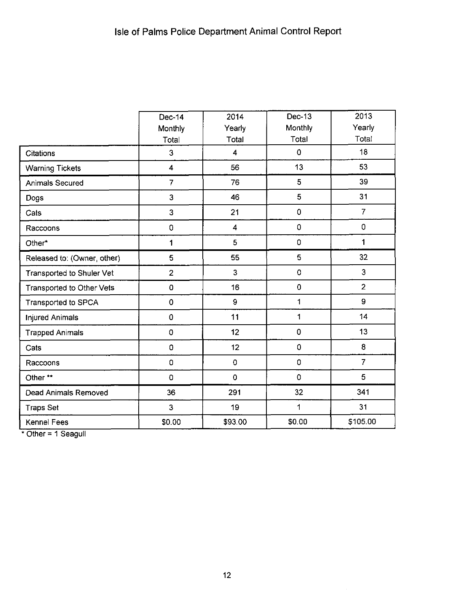|                             | Dec-14                  | 2014                    | Dec-13              | 2013           |
|-----------------------------|-------------------------|-------------------------|---------------------|----------------|
|                             | Monthly                 | Yearly                  | Monthly             | Yearly         |
|                             | Total                   | Total                   | Total               | Total          |
| <b>Citations</b>            | 3                       | $\overline{\mathbf{4}}$ | 0                   | 18             |
| <b>Warning Tickets</b>      | $\overline{\mathbf{4}}$ | 56                      | 13                  | 53             |
| Animals Secured             | $\overline{7}$          | 76                      | 5                   | 39             |
| Dogs                        | 3                       | 46                      | 5                   | 31             |
| Cats                        | 3                       | 21                      | $\pmb{0}$           | $\overline{7}$ |
| Raccoons                    | 0                       | 4                       | 0                   | $\mathbf 0$    |
| Other*                      | 1                       | 5                       | $\mathsf{O}\xspace$ | 1              |
| Released to: (Owner, other) | 5                       | 55                      | 5                   | 32             |
| Transported to Shuler Vet   | $\overline{2}$          | 3                       | $\pmb{\mathsf{O}}$  | 3              |
| Transported to Other Vets   | 0                       | 16                      | 0                   | $\overline{2}$ |
| Transported to SPCA         | $\mathbf 0$             | $\boldsymbol{9}$        | 1                   | $\overline{9}$ |
| <b>Injured Animals</b>      | $\pmb{0}$               | 11                      | 1                   | 14             |
| <b>Trapped Animals</b>      | 0                       | 12                      | $\mathbf 0$         | 13             |
| Cats                        | 0                       | 12                      | 0                   | 8              |
| Raccoons                    | 0                       | $\pmb{\mathsf{O}}$      | 0                   | $\overline{7}$ |
| Other **                    | 0                       | $\mathbf 0$             | 0                   | 5              |
| Dead Animals Removed        | 36                      | 291                     | 32                  | 341            |
| <b>Traps Set</b>            | 3                       | 19                      | 1                   | 31             |
| Kennel Fees                 | \$0.00                  | \$93.00                 | \$0.00              | \$105.00       |

 $\overline{\phantom{a}}$  Other = 1 Seagull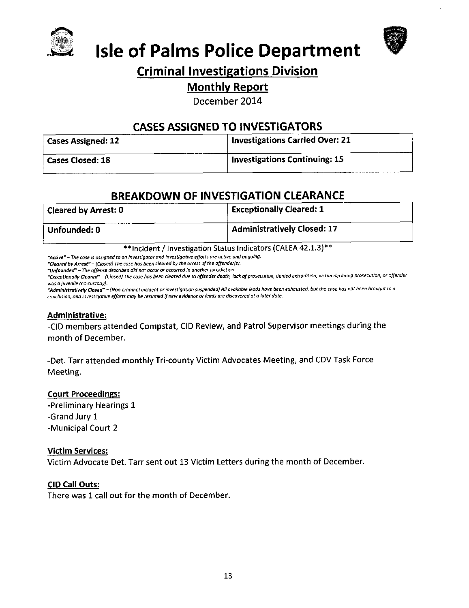



# **Isle of Palms Police Department**

# **Criminal Investigations Division**

### **Monthly Report**

December 2014

# **CASES ASSIGNED TO INVESTIGATORS**

| <b>Cases Assigned: 12</b> | <b>Investigations Carried Over: 21</b> |
|---------------------------|----------------------------------------|
| <b>Cases Closed: 18</b>   | <b>Investigations Continuing: 15</b>   |

# **BREAKDOWN OF INVESTIGATION CLEARANCE**

| <b>Cleared by Arrest: 0</b> | <b>Exceptionally Cleared: 1</b>    |
|-----------------------------|------------------------------------|
| Unfounded: 0                | <b>Administratively Closed: 17</b> |

\*\*Incident / Investigation Status Indicators (CALEA 42.1.3)\*\*

"Active" - The case is assigned to an investigator and investigative efforts are active and ongoing.

"Cleared by Arrest" - (Closed) The case has been cleared by the arrest of the offender(s).

"Unfounded" - The offense described did not occur or occurred in another jurisdiction.

"Exceptionally Cleared" - (Closed) The case has been cleared due to offender death, lack of prosecution, denied extradition, victim declining prosecution, or offender was a juvenile (no custody).

"Administratively Closed" - (Non-criminal incident or investigation suspended) All available leads have been exhausted, but the case has not been brought to a conclusion, and investigative efforts may be resumed if new evidence or leads are discovered at a later date.

#### **Administrative:**

-CID members attended Compstat, CID Review, and Patrol Supervisor meetings during the month of December.

-Det. Tarr attended monthly Tri-county Victim Advocates Meeting, and CDV Task Force Meeting.

#### **Court Proceedings:**

-Preliminary Hearings 1 -Grand Jury 1 -Municipal Court 2

#### **Victim Services:**

Victim Advocate Det. Tarr sent out 13 Victim Letters during the month of December.

#### **CID Call Outs:**

There was 1 call out for the month of December.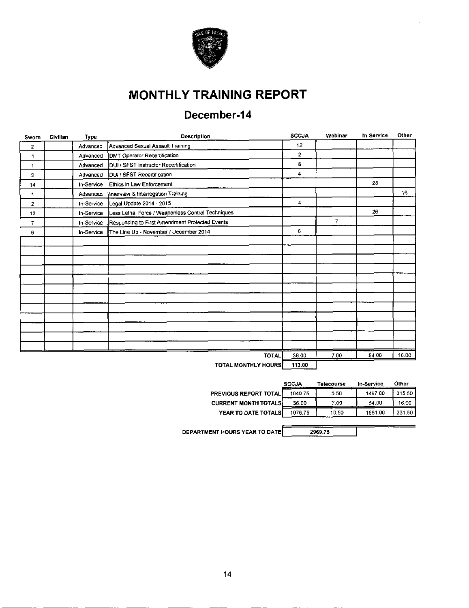

# **MONTHLY TRAINING REPORT**

# December-14

| Sworn          | Civilian | Type       | Description                                       | <b>SCCJA</b>        | Webinar        | In-Service | Other |
|----------------|----------|------------|---------------------------------------------------|---------------------|----------------|------------|-------|
| 2              |          | Advanced   | Advanced Sexual Assault Training                  | 12                  |                |            |       |
| 1              |          | Advanced   | DMT Operator Recertification                      | $\overline{2}$      |                |            |       |
| 1              |          | Advanced   | DUI / SFST Instructor Recertification             | 8                   |                |            |       |
| 2              |          | Advanced   | DUI / SFST Recertification                        | $\overline{\bf{4}}$ |                |            |       |
| 14             |          | In-Service | Ethics in Law Enforcement                         |                     |                | 28         |       |
| 1              |          | Advanced   | Interview & Interrogation Training                |                     |                |            | 16    |
| $\overline{2}$ |          | In-Service | Legal Update 2014 - 2015                          | 4                   |                |            |       |
| 13             |          | In-Service | Less Lethal Force / Weaponless Control Techniques |                     |                | 26         |       |
| $\overline{7}$ |          | In-Service | Responding to First Amendment Protected Events    |                     | $\overline{7}$ |            |       |
| 6              |          | In-Service | The Line Up - November / December 2014            | 6                   |                |            |       |
|                |          |            |                                                   |                     |                |            |       |
|                |          |            |                                                   |                     |                |            |       |
|                |          |            |                                                   |                     |                |            |       |
|                |          |            |                                                   |                     |                |            |       |
|                |          |            |                                                   |                     |                |            |       |
|                |          |            |                                                   |                     |                |            |       |
|                |          |            |                                                   |                     |                |            |       |
|                |          |            |                                                   |                     |                |            |       |
|                |          |            |                                                   |                     |                |            |       |
|                |          |            |                                                   |                     |                |            |       |
|                |          |            |                                                   |                     |                |            |       |
|                |          |            |                                                   |                     |                |            |       |
|                |          |            | TOTAL                                             | 36.00               | 7.00           | 54.00      | 16.00 |
|                |          |            | <b>TOTAL MONTLI V UOHDO</b>                       | 111.00              |                |            |       |

TOTAL MONTHLY HOURS | 113.00

|                              | <b>SCCJA</b> | Telecourse | In-Service | Other  |
|------------------------------|--------------|------------|------------|--------|
| <b>PREVIOUS REPORT TOTAL</b> | 1040.75      | 3.50       | 1497.00    | 315.50 |
| <b>CURRENT MONTH TOTALS</b>  | 36.00        | 7.00       | 54.00      | 16.00  |
| YEAR TO DATE TOTALS          | 1076.75      | 10.50      | 1551.00    | 331.50 |
|                              |              |            |            |        |

DEPARTMENT HOURS YEAR TO DATE

2969.75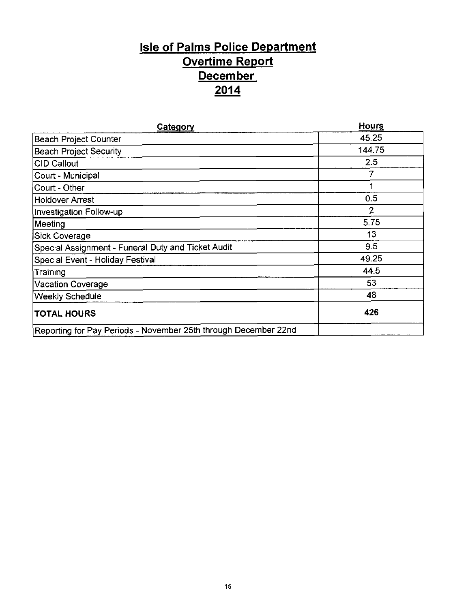# **Isle of Palms Police Department** Overtime Report **December**  $\frac{2014}{ }$

| Category                                                        | Hours          |
|-----------------------------------------------------------------|----------------|
| <b>Beach Project Counter</b>                                    | 45.25          |
| <b>Beach Project Security</b>                                   | 144.75         |
| <b>CID Callout</b>                                              | 2.5            |
| Court - Municipal                                               |                |
| Court - Other                                                   | 1              |
| Holdover Arrest                                                 | 0.5            |
| Investigation Follow-up                                         | $\overline{2}$ |
| Meeting                                                         | 5.75           |
| Sick Coverage                                                   | 13             |
| Special Assignment - Funeral Duty and Ticket Audit              | 9.5            |
| Special Event - Holiday Festival                                | 49.25          |
| Training                                                        | 44.5           |
| <b>Vacation Coverage</b>                                        | 53             |
| <b>Weekly Schedule</b>                                          | 48             |
| <b>TOTAL HOURS</b>                                              | 426            |
| Reporting for Pay Periods - November 25th through December 22nd |                |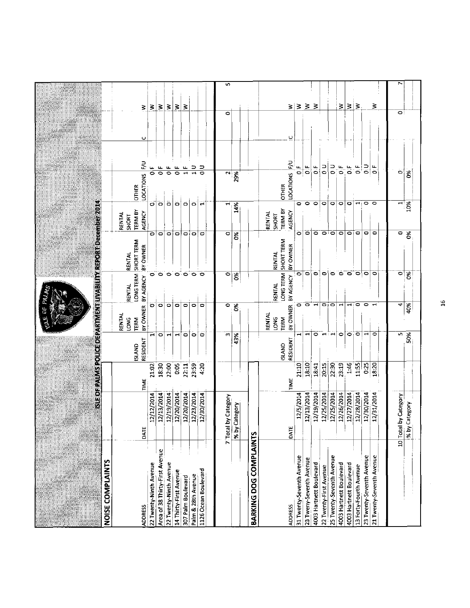|                                                                                                                       |                  |                                          |                  |                        |                                      |                                                  |                              |                    |                      | $\overline{5}$          |                            |                        |                              |                                   |                          |                             |                         |                        |                          |                         |                         |                        |                          |                                |                      |                           |  |
|-----------------------------------------------------------------------------------------------------------------------|------------------|------------------------------------------|------------------|------------------------|--------------------------------------|--------------------------------------------------|------------------------------|--------------------|----------------------|-------------------------|----------------------------|------------------------|------------------------------|-----------------------------------|--------------------------|-----------------------------|-------------------------|------------------------|--------------------------|-------------------------|-------------------------|------------------------|--------------------------|--------------------------------|----------------------|---------------------------|--|
|                                                                                                                       |                  |                                          | ₹                | š                      | $\leq$                               | 3<br>$\geq$                                      | 3                            |                    |                      | ۰                       |                            |                        |                              |                                   |                          | $\geq$ $\geq$ $\geq$ $\geq$ |                         |                        |                          | 3                       | ξ                       | i3                     |                          | ₹                              | $\bullet$            |                           |  |
|                                                                                                                       |                  |                                          | ပ                |                        |                                      |                                                  |                              |                    |                      |                         |                            |                        |                              | یا                                |                          |                             |                         |                        |                          |                         |                         |                        |                          |                                |                      |                           |  |
|                                                                                                                       |                  |                                          | 룬                | щ<br>$\mathbf{u}$<br>0 | $\mathbf{u}$<br>$\overline{\bullet}$ | $\mathbf{u}$<br>ठ<br>$\overline{\bullet}$        | щ<br>$\overline{\mathbf{u}}$ | $\frac{1}{1}$      | ∍<br>ಠ               | 2                       | 29%                        |                        |                              | 론                                 | u.<br>$\circ$            | $\frac{1}{\mathbf{0}}$      | ن<br>0                  | ر<br>0                 | $\frac{1}{5}$            | $\vec{0}$ if            | 0.5                     | $\mathbf{0}$ . F       | $\frac{1}{2}$            | $\overline{\mathbf{0}}$        | ö                    | క                         |  |
|                                                                                                                       |                  | <b>OTHER</b>                             | <b>LOCATIONS</b> |                        |                                      |                                                  |                              |                    |                      |                         |                            |                        |                              | <b>LOCATIONS</b><br><b>OTHER</b>  |                          |                             |                         |                        |                          |                         |                         |                        |                          |                                |                      |                           |  |
|                                                                                                                       |                  | <b>TERM BY</b><br>RENTAL<br><b>SHORT</b> | AGENCY           | ö                      | $\ddot{\phantom{a}}$                 | ۰<br>$\ddot{\phantom{1}}$                        | $\ddot{\phantom{a}}$         | $\ddot{\bullet}$   | ₩                    | ⊣                       | 14%                        |                        | RENTAL<br>SHORT              | <b>TERM BY</b><br>AGENCY          | ۰                        | $\circ$                     | $\circ$                 | ۰                      | $\circ$                  | $\circ$                 | $\circ$                 | ٣ŧ                     | $\circ$                  | $\circ$                        | H                    | 10%                       |  |
| <u>MOZARO WEGEN OZARANA ZAKANA ZA PAZZA GANZA ZA NAZIO ZA NAZIO ZA NAZIO ZA NAZIO ZA NAZIO ZA NAZIO ZA NAZIO ZA N</u> |                  | RENTAL                                   | BY OWNER         | $\circ$                | $\circ$                              | $\circ$<br>۰                                     | $\circ$                      | $\circ$            | 10                   | ۰                       | š                          |                        | <b>RENTAL</b>                | BY OWNER                          | ö                        | $\circ$                     | $\circ$                 | $\circ$                |                          | $\circ$                 | $\circ$                 | ۰                      | ۰                        | ۰                              | 0                    | $\frac{8}{5}$             |  |
| <b>FALM?</b>                                                                                                          |                  | LONG TERM SHORT TERM<br><b>RENTAL</b>    | BY AGENCY        | 0                      | $\circ$                              | $\circ \circ \circ$                              |                              | $\bullet$          | $\bullet$            | $\circ$                 | š                          |                        | <b>RENTAL</b>                | LONG TERM SHORT TERM<br>BY AGENCY | ۰                        | $\circ$                     | ۰                       | $\circ$                | $\circ$                  | $\bullet$               | $\bullet$               | ం∖ం                    |                          | 0                              | $\bullet$            | $\overline{\mathcal{S}}$  |  |
| (5) 足                                                                                                                 |                  | <b>RENTAL</b><br>LONG<br>TERM            | BY OWNER         | Ö                      | ۰                                    | ತ<br>٥                                           | $\overline{\bullet}$         | $\circ$            | $\bullet$            | ۰                       | S,                         |                        | <b>RENTAL</b><br><b>LONG</b> | BY OWNER<br>TERM                  | ۰                        | ົ໐                          | $\blacksquare$          | ojo                    |                          | $\mathbf{\mathbf{t}}$   | $\mathbf{r}$            | $\bullet$              | 0                        | $\mathbf{\mathbf{\mathbf{H}}}$ | 4                    | 40%                       |  |
|                                                                                                                       |                  | <b>ISLAND</b>                            | RESIDENT         | ۳                      | $\circ$                              | $\blacksquare$<br>$\overline{\phantom{0}}$       | $\circ$                      | $\circ$            | $\circ$              | m                       | 43%                        |                        |                              | RESIDENT<br><b>UNNC</b>           | $\blacksquare$           | $\blacksquare$              | $\circ$                 | $\blacksquare$         | ہے :                     | ٥                       | $\bullet$               | o                      | $\mathbf{\mathbf{d}}$    | ۰                              | r,                   | 50%                       |  |
|                                                                                                                       |                  |                                          | TIME             | 21:02                  | 18:30                                | 22.00<br>0.05                                    | 22:11                        | 23:59              | 4.20                 |                         |                            |                        |                              | TIME                              | 21:10                    | 18:10                       | 18:41                   | 20:15                  | 22:30                    | 23:19                   | 1:46                    | 11:55                  | 0:25                     | 18:20                          |                      |                           |  |
|                                                                                                                       |                  |                                          | DATE             | 12/12/2014             | 12/13/2014                           | 12/19/2014<br>12/20/2014                         | 12/20/2014                   | 12/23/2014         | 12/30/2014           | by Category<br>7. Total | Category<br>M <sub>8</sub> |                        |                              | DATE                              | 12/5/2014                | 12/13/2014                  | 12/19/2014              | 12/25/2014             | 12/25/2014               | 12/26/2014              | 12/27/2014              | 12/28/2014             | 12/30/2014               | 12/31/2014                     | 10 Total by Category | Category<br>$\frac{1}{2}$ |  |
|                                                                                                                       | NOISE COMPLAINTS |                                          | <b>ADDRESS</b>   | 22 Twenty-Ninth Avenue | Area of 38 Thirty-First Avenue       | 22 Twenty-Ninth Avenue<br>14 Thirty-First Avenue | 307 Palm Boulevard           | Palm & 28th Avenue | 1126 Ocean Boulevard |                         |                            | BARKING DOG COMPLAINTS |                              | <b>ADDRESS</b>                    | 31 Twenty-Seventh Avenue | 23 Tweny-Seventh Avenue     | 4003 Hartnett Boulevard | 22 Twenty-First Avenue | 25 Twenty-Seventh Avenue | 4003 Hartnett Boulevard | 4003 Hartnett Boulevard | 13 Forty-Fourth Avenue | 23 Twenty-Seventh Avenue | 21 Twenty-Seventh Avenue       |                      |                           |  |